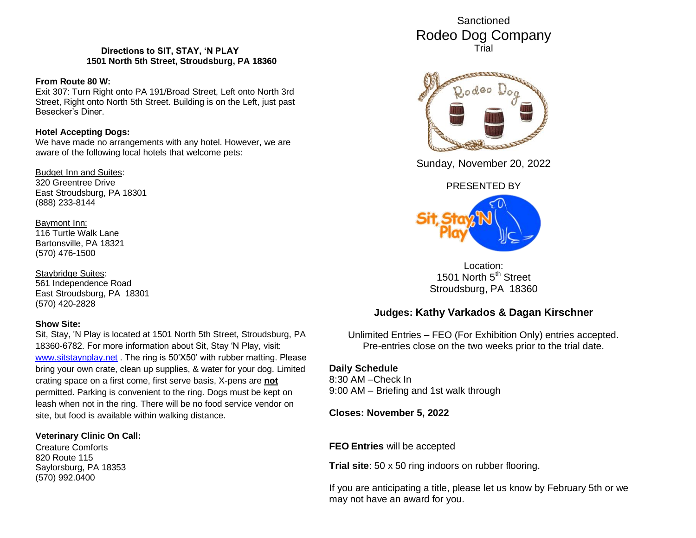### **Directions to SIT, STAY, 'N PLAY 1501 North 5th Street, Stroudsburg, PA 18360**

#### **From Route 80 W:**

Exit 307: Turn Right onto PA 191/Broad Street, Left onto North 3rd Street, Right onto North 5th Street. Building is on the Left, just past Besecker's Diner.

#### **Hotel Accepting Dogs:**

We have made no arrangements with any hotel. However, we are aware of the following local hotels that welcome pets:

Budget Inn and Suites:

320 Greentree Drive East Stroudsburg, PA 18301 (888) 233-8144

## Baymont Inn:

116 Turtle Walk Lane Bartonsville, PA 18321 (570) 476-1500

Staybridge Suites: 561 Independence Road East Stroudsburg, PA 18301 (570) 420-2828

### **Show Site:**

Sit, Stay, 'N Play is located at 1501 North 5th Street, Stroudsburg, PA 18360-6782. For more information about Sit, Stay 'N Play, visit: [www.sitstaynplay.net](http://www.sitstaynplay.net/) . The ring is 50'X50' with rubber matting. Please bring your own crate, clean up supplies, & water for your dog. Limited crating space on a first come, first serve basis, X-pens are **not** permitted. Parking is convenient to the ring. Dogs must be kept on leash when not in the ring. There will be no food service vendor on site, but food is available within walking distance.

### **Veterinary Clinic On Call:**

Creature Comforts 820 Route 115 Saylorsburg, PA 18353 (570) 992.0400

Sanctioned Rodeo Dog Company Trial



Sunday, November 20, 2022

## PRESENTED BY



Location: 1501 North 5<sup>th</sup> Street Stroudsburg, PA 18360

# **Judges: Kathy Varkados & Dagan Kirschner**

Unlimited Entries – FEO (For Exhibition Only) entries accepted. Pre-entries close on the two weeks prior to the trial date.

## **Daily Schedule**

8:30 AM –Check In 9:00 AM – Briefing and 1st walk through

**Closes: November 5, 2022**

**FEO Entries** will be accepted

**Trial site**: 50 x 50 ring indoors on rubber flooring.

If you are anticipating a title, please let us know by February 5th or we may not have an award for you.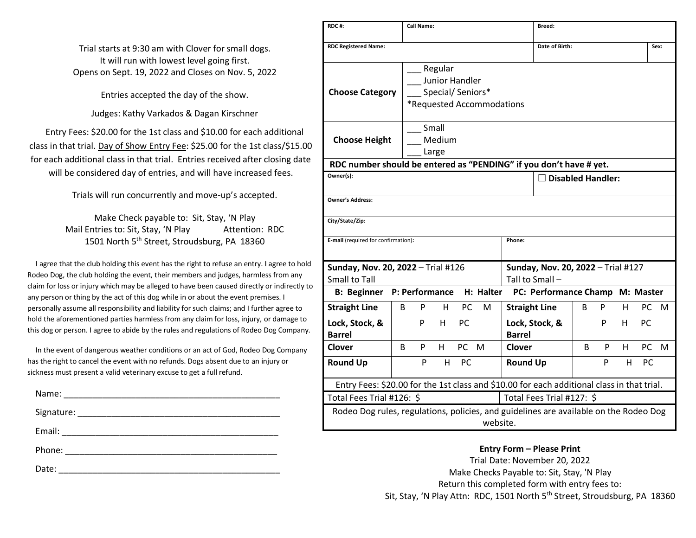Trial starts at 9:30 am with Clover for small dogs. It will run with lowest level going first. Opens on Sept. 19, 2022 and Closes on Nov. 5, 2022

Entries accepted the day of the show.

Judges: Kathy Varkados & Dagan Kirschner

Entry Fees: \$20.00 for the 1st class and \$10.00 for each additional class in that trial. Day of Show Entry Fee: \$25.00 for the 1st class/\$15.00 for each additional class in that trial. Entries received after closing date will be considered day of entries, and will have increased fees.

Trials will run concurrently and move-up's accepted.

Make Check payable to: Sit, Stay, 'N Play Mail Entries to: Sit, Stay, 'N Play Attention: RDC 1501 North 5<sup>th</sup> Street, Stroudsburg, PA 18360

I agree that the club holding this event has the right to refuse an entry. I agree to hold Rodeo Dog, the club holding the event, their members and judges, harmless from any claim for loss or injury which may be alleged to have been caused directly or indirectly to any person or thing by the act of this dog while in or about the event premises. I personally assume all responsibility and liability for such claims; and I further agree to hold the aforementioned parties harmless from any claim for loss, injury, or damage to this dog or person. I agree to abide by the rules and regulations of Rodeo Dog Company.

In the event of dangerous weather conditions or an act of God, Rodeo Dog Company has the right to cancel the event with no refunds. Dogs absent due to an injury or sickness must present a valid veterinary excuse to get a full refund.

| Name:  |                                                     |
|--------|-----------------------------------------------------|
|        |                                                     |
| Email: | <u> 1980 - Andrea Andrews, amerikansk politik (</u> |
| Phone: |                                                     |
| Date:  |                                                     |

| RDC#:                                                                                      |    | <b>Call Name:</b> |                                               |           |                           |                      | Breed:                                                |   |   |    |           |      |
|--------------------------------------------------------------------------------------------|----|-------------------|-----------------------------------------------|-----------|---------------------------|----------------------|-------------------------------------------------------|---|---|----|-----------|------|
| <b>RDC Registered Name:</b>                                                                |    |                   |                                               |           |                           |                      | Date of Birth:                                        |   |   |    |           | Sex: |
| <b>Choose Category</b>                                                                     |    |                   | Regular<br>Junior Handler<br>Special/Seniors* |           | *Requested Accommodations |                      |                                                       |   |   |    |           |      |
| <b>Choose Height</b><br>RDC number should be entered as "PENDING" if you don't have # yet. |    |                   | Small<br>Medium<br>Large                      |           |                           |                      |                                                       |   |   |    |           |      |
| Owner(s):                                                                                  |    |                   |                                               |           |                           |                      | $\square$ Disabled Handler:                           |   |   |    |           |      |
|                                                                                            |    |                   |                                               |           |                           |                      |                                                       |   |   |    |           |      |
| <b>Owner's Address:</b>                                                                    |    |                   |                                               |           |                           |                      |                                                       |   |   |    |           |      |
| City/State/Zip:                                                                            |    |                   |                                               |           |                           |                      |                                                       |   |   |    |           |      |
| E-mail (required for confirmation):                                                        |    |                   |                                               |           |                           | Phone:               |                                                       |   |   |    |           |      |
| Sunday, Nov. 20, 2022 - Trial #126<br><b>Small to Tall</b>                                 |    |                   |                                               |           |                           |                      | Sunday, Nov. 20, 2022 - Trial #127<br>Tall to Small - |   |   |    |           |      |
| B: Beginner P: Performance H: Halter                                                       |    |                   |                                               |           |                           |                      | PC: Performance Champ M: Master                       |   |   |    |           |      |
| <b>Straight Line</b>                                                                       | B  | P                 | н                                             | <b>PC</b> | м                         | <b>Straight Line</b> |                                                       | B | P | H  | PC        | M    |
| Lock, Stock, &<br><b>Barrel</b>                                                            |    | P                 | H.                                            | <b>PC</b> |                           | <b>Barrel</b>        | Lock, Stock, &                                        |   | P | H. | PC        |      |
| <b>Clover</b>                                                                              | B. | P                 | H.                                            | PC -      | M                         | Clover               |                                                       | B | P | H. | <b>PC</b> | M    |
| <b>Round Up</b>                                                                            |    | P                 | H.                                            | PC.       |                           | <b>Round Up</b>      |                                                       |   | P | H. | PC.       |      |
| Entry Fees: \$20.00 for the 1st class and \$10.00 for each additional class in that trial. |    |                   |                                               |           |                           |                      |                                                       |   |   |    |           |      |
| Total Fees Trial #126: \$                                                                  |    |                   |                                               |           |                           |                      | Total Fees Trial #127: \$                             |   |   |    |           |      |
| Rodeo Dog rules, regulations, policies, and guidelines are available on the Rodeo Dog      |    |                   |                                               |           | website.                  |                      |                                                       |   |   |    |           |      |

**Entry Form – Please Print** Trial Date: November 20, 2022 Make Checks Payable to: Sit, Stay, 'N Play Return this completed form with entry fees to: Sit, Stay, 'N Play Attn: RDC, 1501 North 5<sup>th</sup> Street, Stroudsburg, PA 18360